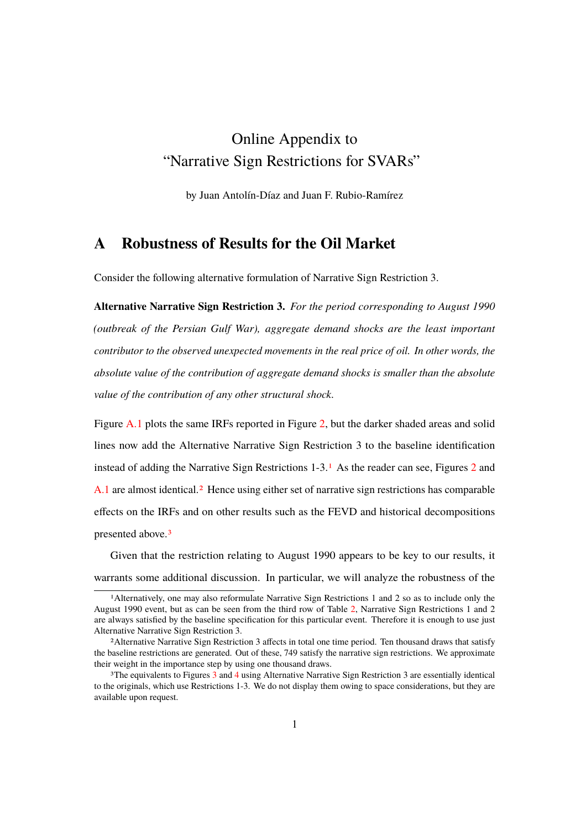# Online Appendix to "Narrative Sign Restrictions for SVARs"

by Juan Antolín-Díaz and Juan F. Rubio-Ramírez

### **A Robustness of Results for the Oil Market**

Consider the following alternative formulation of Narrative Sign Restriction 3.

**Alternative Narrative Sign Restriction 3.** *For the period corresponding to August 1990 (outbreak of the Persian Gulf War), aggregate demand shocks are the least important contributor to the observed unexpected movements in the real price of oil. In other words, the absolute value of the contribution of aggregate demand shocks is smaller than the absolute value of the contribution of any other structural shock.*

Figure A.1 plots the same IRFs reported in Figure 2, but the darker shaded areas and solid lines now add the Alternative Narrative Sign Restriction 3 to the baseline identification instead of adding the Narrative Sign Restrictions 1-3.1 As the reader can see, Figures 2 and A.1 are almost identical.2 Hence using either set of narrative sign restrictions has comparable effects on the IRFs and on other results such as the FEVD and historical decompositions presented above.<sup>3</sup>

Given that the restriction relating to August 1990 appears to be key to our results, it warrants some additional discussion. In particular, we will analyze the robustness of the

<sup>1</sup>Alternatively, one may also reformulate Narrative Sign Restrictions 1 and 2 so as to include only the August 1990 event, but as can be seen from the third row of Table 2, Narrative Sign Restrictions 1 and 2 are always satisfied by the baseline specification for this particular event. Therefore it is enough to use just Alternative Narrative Sign Restriction 3.

<sup>&</sup>lt;sup>2</sup>Alternative Narrative Sign Restriction 3 affects in total one time period. Ten thousand draws that satisfy the baseline restrictions are generated. Out of these, 749 satisfy the narrative sign restrictions. We approximate their weight in the importance step by using one thousand draws.

<sup>&</sup>lt;sup>3</sup>The equivalents to Figures 3 and 4 using Alternative Narrative Sign Restriction 3 are essentially identical to the originals, which use Restrictions 1-3. We do not display them owing to space considerations, but they are available upon request.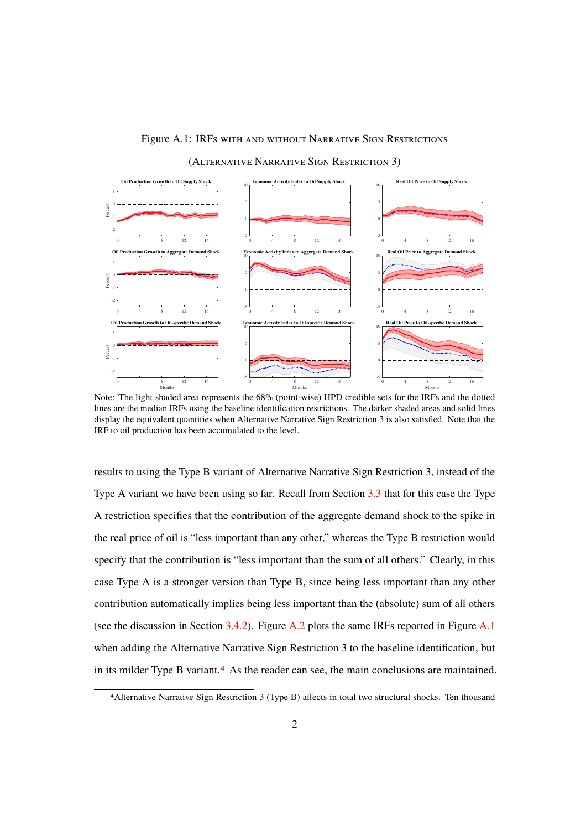#### Figure A.1: IRFs with and without NARRATIVE SIGN RESTRICTIONS

(ALTERNATIVE NARRATIVE SIGN RESTRICTION 3)



Note: The light shaded area represents the 68% (point-wise) HPD credible sets for the IRFs and the dotted lines are the median IRFs using the baseline identification restrictions. The darker shaded areas and solid lines display the equivalent quantities when Alternative Narrative Sign Restriction 3 is also satisfied. Note that the IRF to oil production has been accumulated to the level.

results to using the Type B variant of Alternative Narrative Sign Restriction 3, instead of the Type A variant we have been using so far. Recall from Section 3.3 that for this case the Type A restriction specifies that the contribution of the aggregate demand shock to the spike in the real price of oil is "less important than any other," whereas the Type B restriction would specify that the contribution is "less important than the sum of all others." Clearly, in this case Type A is a stronger version than Type B, since being less important than any other contribution automatically implies being less important than the (absolute) sum of all others (see the discussion in Section 3.4.2). Figure A.2 plots the same IRFs reported in Figure A.1 when adding the Alternative Narrative Sign Restriction 3 to the baseline identification, but in its milder Type B variant.4 As the reader can see, the main conclusions are maintained.

<sup>&</sup>lt;sup>4</sup>Alternative Narrative Sign Restriction 3 (Type B) affects in total two structural shocks. Ten thousand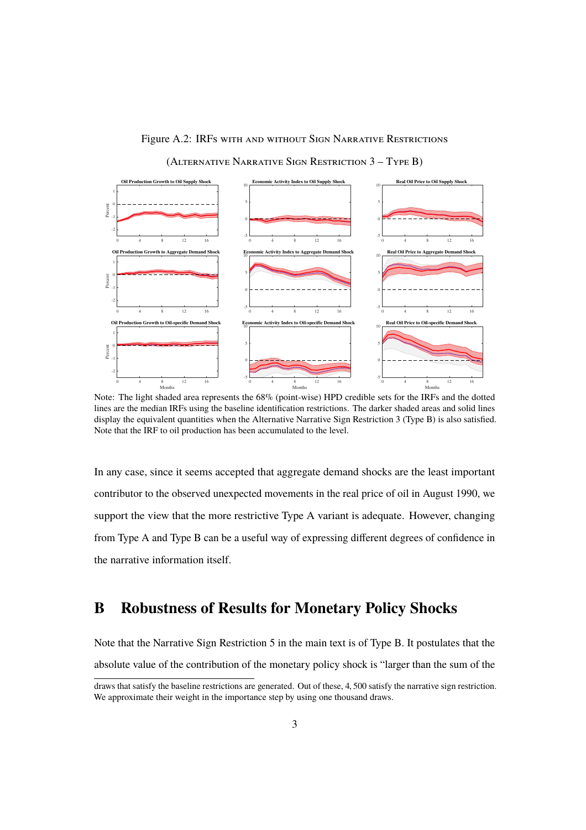

Figure A.2: IRFs with and without Sign NARRATIVE RESTRICTIONS

(ALTERNATIVE NARRATIVE SIGN RESTRICTION 3 - TYPE B)

Note: The light shaded area represents the 68% (point-wise) HPD credible sets for the IRFs and the dotted lines are the median IRFs using the baseline identification restrictions. The darker shaded areas and solid lines display the equivalent quantities when the Alternative Narrative Sign Restriction 3 (Type B) is also satisfied. Note that the IRF to oil production has been accumulated to the level.

In any case, since it seems accepted that aggregate demand shocks are the least important contributor to the observed unexpected movements in the real price of oil in August 1990, we support the view that the more restrictive Type A variant is adequate. However, changing from Type A and Type B can be a useful way of expressing different degrees of confidence in the narrative information itself.

# **B Robustness of Results for Monetary Policy Shocks**

Note that the Narrative Sign Restriction 5 in the main text is of Type B. It postulates that the absolute value of the contribution of the monetary policy shock is "larger than the sum of the

draws that satisfy the baseline restrictions are generated. Out of these, 4, 500 satisfy the narrative sign restriction. We approximate their weight in the importance step by using one thousand draws.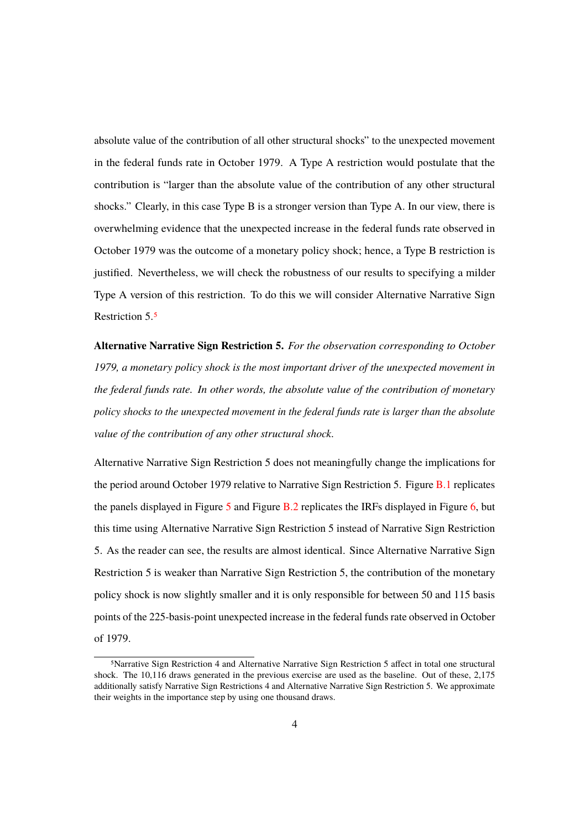absolute value of the contribution of all other structural shocks" to the unexpected movement in the federal funds rate in October 1979. A Type A restriction would postulate that the contribution is "larger than the absolute value of the contribution of any other structural shocks." Clearly, in this case Type B is a stronger version than Type A. In our view, there is overwhelming evidence that the unexpected increase in the federal funds rate observed in October 1979 was the outcome of a monetary policy shock; hence, a Type B restriction is justified. Nevertheless, we will check the robustness of our results to specifying a milder Type A version of this restriction. To do this we will consider Alternative Narrative Sign Restriction 5.5

**Alternative Narrative Sign Restriction 5.** *For the observation corresponding to October 1979, a monetary policy shock is the most important driver of the unexpected movement in the federal funds rate. In other words, the absolute value of the contribution of monetary policy shocks to the unexpected movement in the federal funds rate is larger than the absolute value of the contribution of any other structural shock.*

Alternative Narrative Sign Restriction 5 does not meaningfully change the implications for the period around October 1979 relative to Narrative Sign Restriction 5. Figure B.1 replicates the panels displayed in Figure  $\frac{5}{9}$  and Figure B.2 replicates the IRFs displayed in Figure 6, but this time using Alternative Narrative Sign Restriction 5 instead of Narrative Sign Restriction 5. As the reader can see, the results are almost identical. Since Alternative Narrative Sign Restriction 5 is weaker than Narrative Sign Restriction 5, the contribution of the monetary policy shock is now slightly smaller and it is only responsible for between 50 and 115 basis points of the 225-basis-point unexpected increase in the federal funds rate observed in October of 1979.

<sup>&</sup>lt;sup>5</sup>Narrative Sign Restriction 4 and Alternative Narrative Sign Restriction 5 affect in total one structural shock. The 10,116 draws generated in the previous exercise are used as the baseline. Out of these, 2,175 additionally satisfy Narrative Sign Restrictions 4 and Alternative Narrative Sign Restriction 5. We approximate their weights in the importance step by using one thousand draws.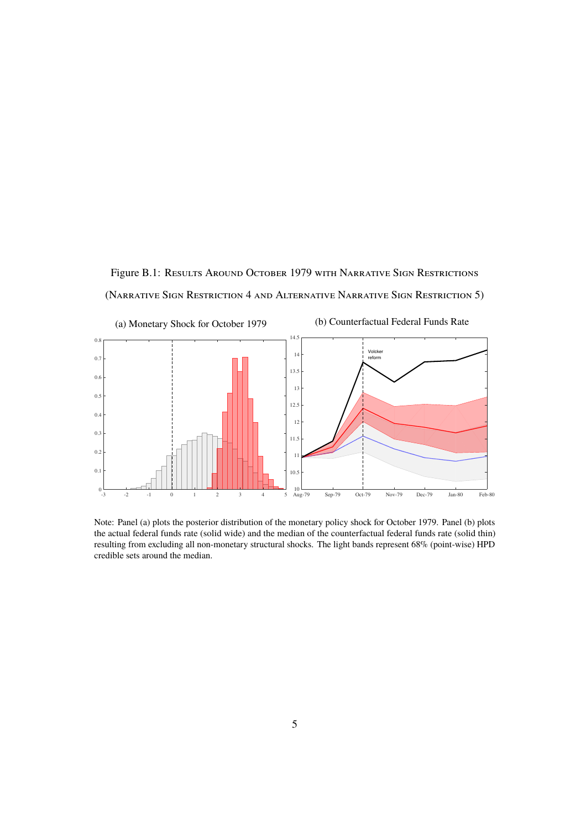Figure B.1: RESULTS AROUND OCTOBER 1979 WITH NARRATIVE SIGN RESTRICTIONS (NARRATIVE SIGN RESTRICTION 4 AND ALTERNATIVE NARRATIVE SIGN RESTRICTION 5)



Note: Panel (a) plots the posterior distribution of the monetary policy shock for October 1979. Panel (b) plots the actual federal funds rate (solid wide) and the median of the counterfactual federal funds rate (solid thin) resulting from excluding all non-monetary structural shocks. The light bands represent 68% (point-wise) HPD credible sets around the median.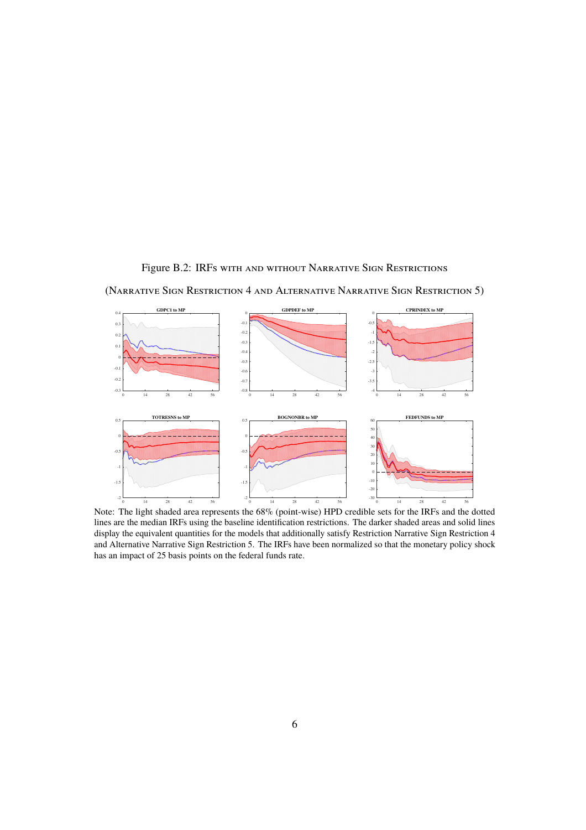#### Figure B.2: IRFs with and without Narrative Sign Restrictions

(NARRATIVE SIGN RESTRICTION 4 AND ALTERNATIVE NARRATIVE SIGN RESTRICTION 5)



Note: The light shaded area represents the 68% (point-wise) HPD credible sets for the IRFs and the dotted lines are the median IRFs using the baseline identification restrictions. The darker shaded areas and solid lines display the equivalent quantities for the models that additionally satisfy Restriction Narrative Sign Restriction 4 and Alternative Narrative Sign Restriction 5. The IRFs have been normalized so that the monetary policy shock has an impact of 25 basis points on the federal funds rate.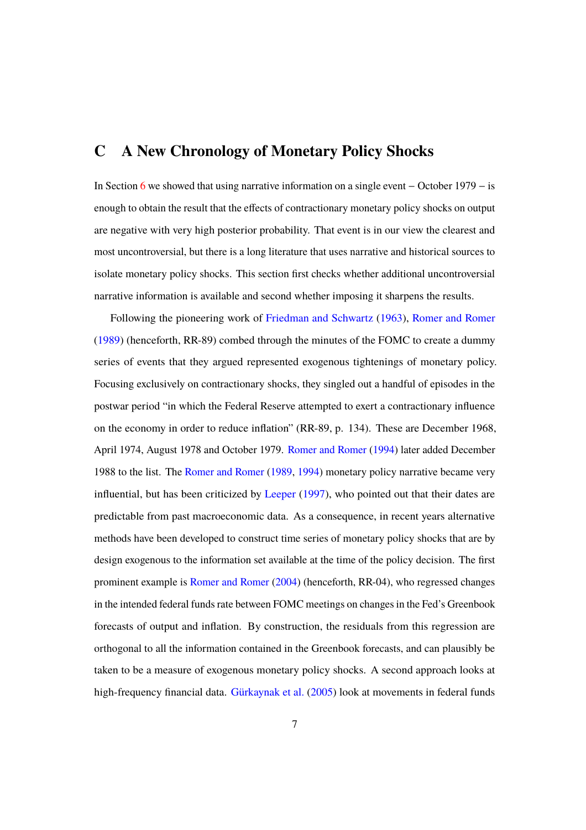# **C A New Chronology of Monetary Policy Shocks**

In Section 6 we showed that using narrative information on a single event  $-$  October 1979  $-$  is enough to obtain the result that the effects of contractionary monetary policy shocks on output are negative with very high posterior probability. That event is in our view the clearest and most uncontroversial, but there is a long literature that uses narrative and historical sources to isolate monetary policy shocks. This section first checks whether additional uncontroversial narrative information is available and second whether imposing it sharpens the results.

Following the pioneering work of Friedman and Schwartz (1963), Romer and Romer (1989) (henceforth, RR-89) combed through the minutes of the FOMC to create a dummy series of events that they argued represented exogenous tightenings of monetary policy. Focusing exclusively on contractionary shocks, they singled out a handful of episodes in the postwar period "in which the Federal Reserve attempted to exert a contractionary influence on the economy in order to reduce inflation" (RR-89, p. 134). These are December 1968, April 1974, August 1978 and October 1979. Romer and Romer (1994) later added December 1988 to the list. The Romer and Romer (1989, 1994) monetary policy narrative became very influential, but has been criticized by Leeper (1997), who pointed out that their dates are predictable from past macroeconomic data. As a consequence, in recent years alternative methods have been developed to construct time series of monetary policy shocks that are by design exogenous to the information set available at the time of the policy decision. The first prominent example is Romer and Romer (2004) (henceforth, RR-04), who regressed changes in the intended federal funds rate between FOMC meetings on changes in the Fed's Greenbook forecasts of output and inflation. By construction, the residuals from this regression are orthogonal to all the information contained in the Greenbook forecasts, and can plausibly be taken to be a measure of exogenous monetary policy shocks. A second approach looks at high-frequency financial data. Gürkaynak et al. (2005) look at movements in federal funds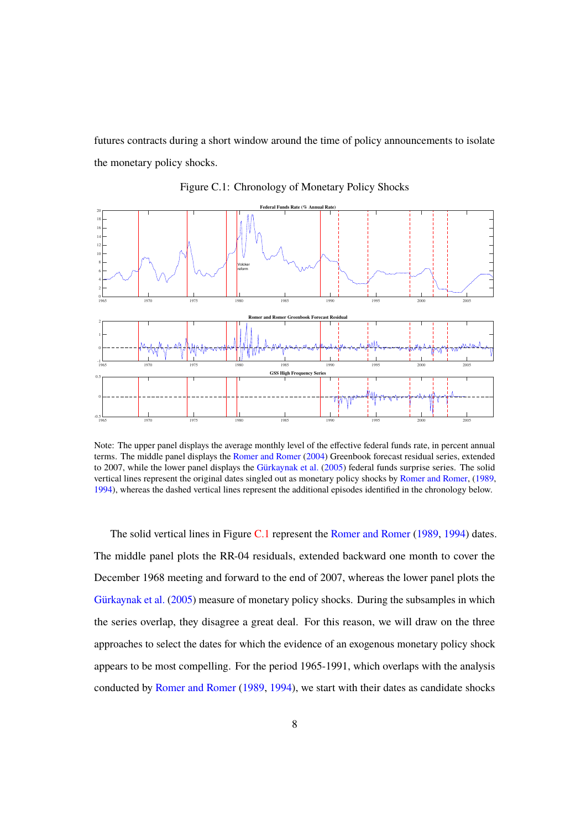futures contracts during a short window around the time of policy announcements to isolate the monetary policy shocks.



Figure C.1: Chronology of Monetary Policy Shocks

Note: The upper panel displays the average monthly level of the effective federal funds rate, in percent annual terms. The middle panel displays the Romer and Romer (2004) Greenbook forecast residual series, extended to 2007, while the lower panel displays the Gürkaynak et al. (2005) federal funds surprise series. The solid vertical lines represent the original dates singled out as monetary policy shocks by Romer and Romer, (1989, 1994), whereas the dashed vertical lines represent the additional episodes identified in the chronology below.

The solid vertical lines in Figure C.1 represent the Romer and Romer (1989, 1994) dates. The middle panel plots the RR-04 residuals, extended backward one month to cover the December 1968 meeting and forward to the end of 2007, whereas the lower panel plots the Gürkaynak et al. (2005) measure of monetary policy shocks. During the subsamples in which the series overlap, they disagree a great deal. For this reason, we will draw on the three approaches to select the dates for which the evidence of an exogenous monetary policy shock appears to be most compelling. For the period 1965-1991, which overlaps with the analysis conducted by Romer and Romer (1989, 1994), we start with their dates as candidate shocks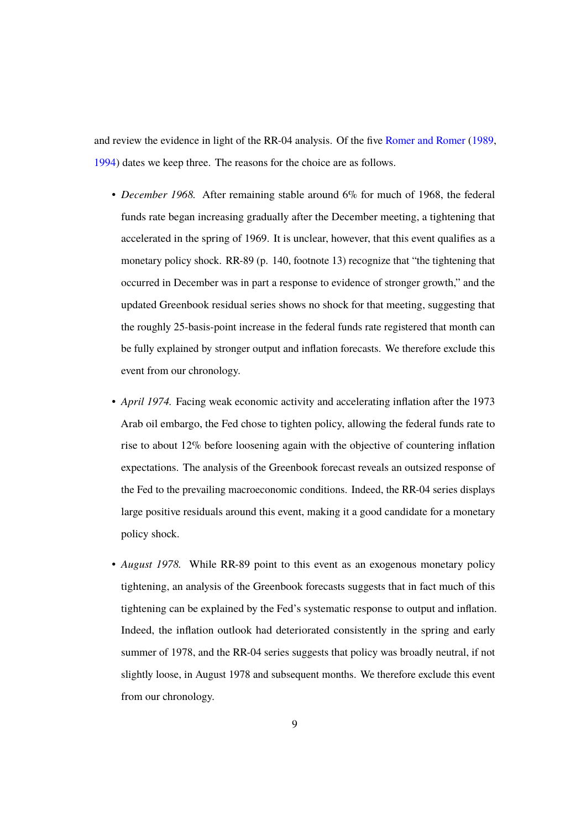and review the evidence in light of the RR-04 analysis. Of the five Romer and Romer (1989, 1994) dates we keep three. The reasons for the choice are as follows.

- *December 1968.* After remaining stable around 6% for much of 1968, the federal funds rate began increasing gradually after the December meeting, a tightening that accelerated in the spring of 1969. It is unclear, however, that this event qualifies as a monetary policy shock. RR-89 (p. 140, footnote 13) recognize that "the tightening that occurred in December was in part a response to evidence of stronger growth," and the updated Greenbook residual series shows no shock for that meeting, suggesting that the roughly 25-basis-point increase in the federal funds rate registered that month can be fully explained by stronger output and inflation forecasts. We therefore exclude this event from our chronology.
- *April 1974.* Facing weak economic activity and accelerating inflation after the 1973 Arab oil embargo, the Fed chose to tighten policy, allowing the federal funds rate to rise to about 12% before loosening again with the objective of countering inflation expectations. The analysis of the Greenbook forecast reveals an outsized response of the Fed to the prevailing macroeconomic conditions. Indeed, the RR-04 series displays large positive residuals around this event, making it a good candidate for a monetary policy shock.
- *August 1978.* While RR-89 point to this event as an exogenous monetary policy tightening, an analysis of the Greenbook forecasts suggests that in fact much of this tightening can be explained by the Fed's systematic response to output and inflation. Indeed, the inflation outlook had deteriorated consistently in the spring and early summer of 1978, and the RR-04 series suggests that policy was broadly neutral, if not slightly loose, in August 1978 and subsequent months. We therefore exclude this event from our chronology.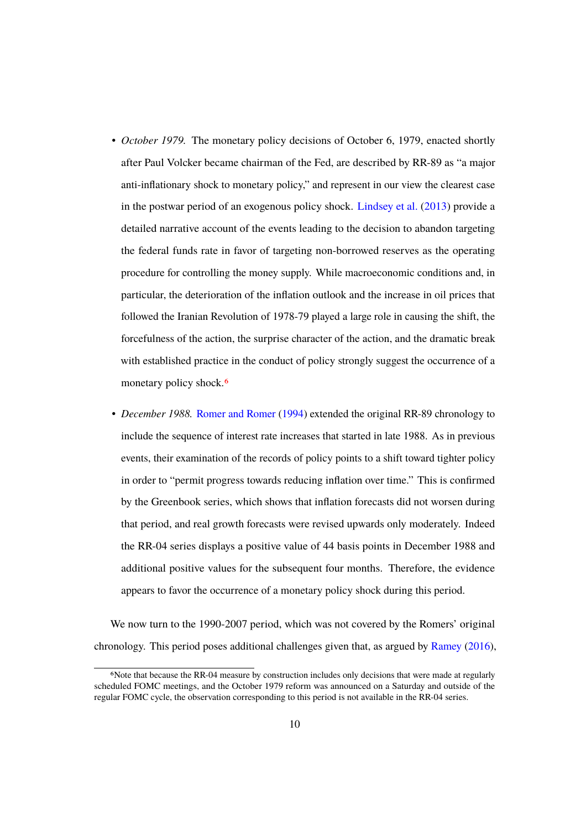- *October 1979.* The monetary policy decisions of October 6, 1979, enacted shortly after Paul Volcker became chairman of the Fed, are described by RR-89 as "a major anti-inflationary shock to monetary policy," and represent in our view the clearest case in the postwar period of an exogenous policy shock. Lindsey et al. (2013) provide a detailed narrative account of the events leading to the decision to abandon targeting the federal funds rate in favor of targeting non-borrowed reserves as the operating procedure for controlling the money supply. While macroeconomic conditions and, in particular, the deterioration of the inflation outlook and the increase in oil prices that followed the Iranian Revolution of 1978-79 played a large role in causing the shift, the forcefulness of the action, the surprise character of the action, and the dramatic break with established practice in the conduct of policy strongly suggest the occurrence of a monetary policy shock.<sup>6</sup>
- *December 1988.* Romer and Romer (1994) extended the original RR-89 chronology to include the sequence of interest rate increases that started in late 1988. As in previous events, their examination of the records of policy points to a shift toward tighter policy in order to "permit progress towards reducing inflation over time." This is confirmed by the Greenbook series, which shows that inflation forecasts did not worsen during that period, and real growth forecasts were revised upwards only moderately. Indeed the RR-04 series displays a positive value of 44 basis points in December 1988 and additional positive values for the subsequent four months. Therefore, the evidence appears to favor the occurrence of a monetary policy shock during this period.

We now turn to the 1990-2007 period, which was not covered by the Romers' original chronology. This period poses additional challenges given that, as argued by Ramey (2016),

<sup>6</sup>Note that because the RR-04 measure by construction includes only decisions that were made at regularly scheduled FOMC meetings, and the October 1979 reform was announced on a Saturday and outside of the regular FOMC cycle, the observation corresponding to this period is not available in the RR-04 series.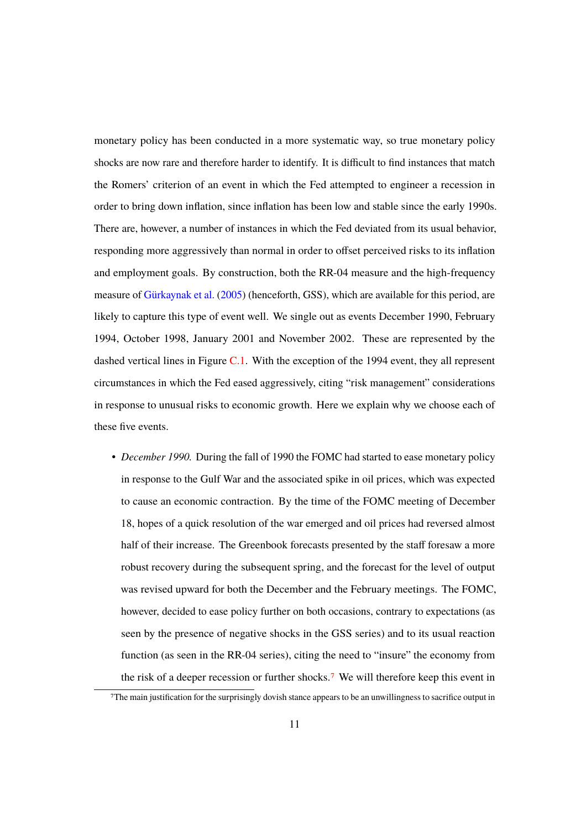monetary policy has been conducted in a more systematic way, so true monetary policy shocks are now rare and therefore harder to identify. It is difficult to find instances that match the Romers' criterion of an event in which the Fed attempted to engineer a recession in order to bring down inflation, since inflation has been low and stable since the early 1990s. There are, however, a number of instances in which the Fed deviated from its usual behavior, responding more aggressively than normal in order to offset perceived risks to its inflation and employment goals. By construction, both the RR-04 measure and the high-frequency measure of Gürkaynak et al. (2005) (henceforth, GSS), which are available for this period, are likely to capture this type of event well. We single out as events December 1990, February 1994, October 1998, January 2001 and November 2002. These are represented by the dashed vertical lines in Figure C.1. With the exception of the 1994 event, they all represent circumstances in which the Fed eased aggressively, citing "risk management" considerations in response to unusual risks to economic growth. Here we explain why we choose each of these five events.

• *December 1990.* During the fall of 1990 the FOMC had started to ease monetary policy in response to the Gulf War and the associated spike in oil prices, which was expected to cause an economic contraction. By the time of the FOMC meeting of December 18, hopes of a quick resolution of the war emerged and oil prices had reversed almost half of their increase. The Greenbook forecasts presented by the staff foresaw a more robust recovery during the subsequent spring, and the forecast for the level of output was revised upward for both the December and the February meetings. The FOMC, however, decided to ease policy further on both occasions, contrary to expectations (as seen by the presence of negative shocks in the GSS series) and to its usual reaction function (as seen in the RR-04 series), citing the need to "insure" the economy from the risk of a deeper recession or further shocks.7 We will therefore keep this event in

<sup>7</sup>The main justification for the surprisingly dovish stance appears to be an unwillingness to sacrifice output in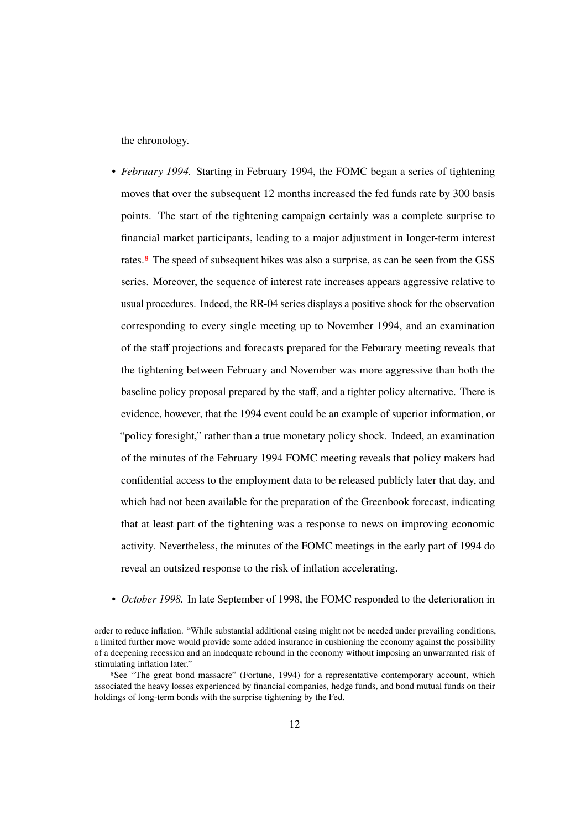the chronology.

- *February 1994.* Starting in February 1994, the FOMC began a series of tightening moves that over the subsequent 12 months increased the fed funds rate by 300 basis points. The start of the tightening campaign certainly was a complete surprise to financial market participants, leading to a major adjustment in longer-term interest rates.<sup>8</sup> The speed of subsequent hikes was also a surprise, as can be seen from the GSS series. Moreover, the sequence of interest rate increases appears aggressive relative to usual procedures. Indeed, the RR-04 series displays a positive shock for the observation corresponding to every single meeting up to November 1994, and an examination of the staff projections and forecasts prepared for the Feburary meeting reveals that the tightening between February and November was more aggressive than both the baseline policy proposal prepared by the staff, and a tighter policy alternative. There is evidence, however, that the 1994 event could be an example of superior information, or "policy foresight," rather than a true monetary policy shock. Indeed, an examination of the minutes of the February 1994 FOMC meeting reveals that policy makers had confidential access to the employment data to be released publicly later that day, and which had not been available for the preparation of the Greenbook forecast, indicating that at least part of the tightening was a response to news on improving economic activity. Nevertheless, the minutes of the FOMC meetings in the early part of 1994 do reveal an outsized response to the risk of inflation accelerating.
- *October 1998.* In late September of 1998, the FOMC responded to the deterioration in

order to reduce inflation. "While substantial additional easing might not be needed under prevailing conditions, a limited further move would provide some added insurance in cushioning the economy against the possibility of a deepening recession and an inadequate rebound in the economy without imposing an unwarranted risk of stimulating inflation later."

<sup>8</sup>See "The great bond massacre" (Fortune, 1994) for a representative contemporary account, which associated the heavy losses experienced by financial companies, hedge funds, and bond mutual funds on their holdings of long-term bonds with the surprise tightening by the Fed.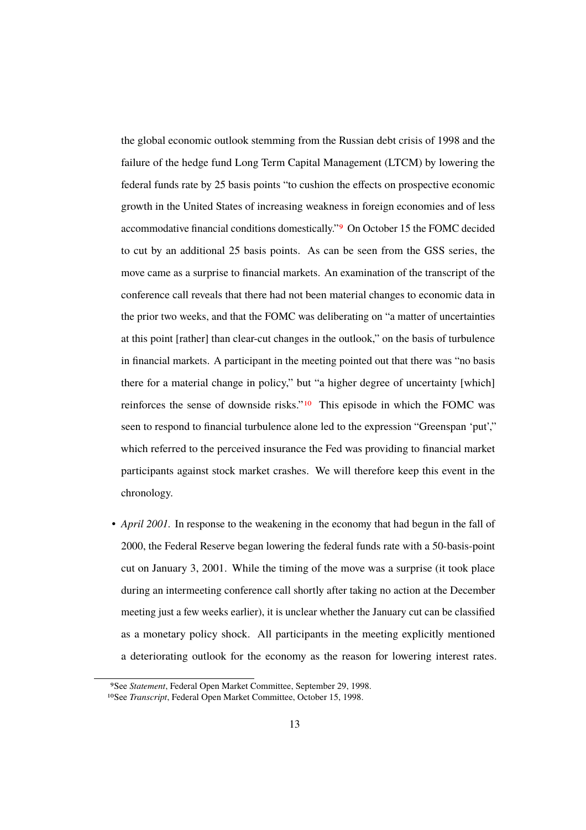the global economic outlook stemming from the Russian debt crisis of 1998 and the failure of the hedge fund Long Term Capital Management (LTCM) by lowering the federal funds rate by 25 basis points "to cushion the effects on prospective economic growth in the United States of increasing weakness in foreign economies and of less accommodative financial conditions domestically."9 On October 15 the FOMC decided to cut by an additional 25 basis points. As can be seen from the GSS series, the move came as a surprise to financial markets. An examination of the transcript of the conference call reveals that there had not been material changes to economic data in the prior two weeks, and that the FOMC was deliberating on "a matter of uncertainties at this point [rather] than clear-cut changes in the outlook," on the basis of turbulence in financial markets. A participant in the meeting pointed out that there was "no basis there for a material change in policy," but "a higher degree of uncertainty [which] reinforces the sense of downside risks."10 This episode in which the FOMC was seen to respond to financial turbulence alone led to the expression "Greenspan 'put'," which referred to the perceived insurance the Fed was providing to financial market participants against stock market crashes. We will therefore keep this event in the chronology.

• *April 2001*. In response to the weakening in the economy that had begun in the fall of 2000, the Federal Reserve began lowering the federal funds rate with a 50-basis-point cut on January 3, 2001. While the timing of the move was a surprise (it took place during an intermeeting conference call shortly after taking no action at the December meeting just a few weeks earlier), it is unclear whether the January cut can be classified as a monetary policy shock. All participants in the meeting explicitly mentioned a deteriorating outlook for the economy as the reason for lowering interest rates.

<sup>9</sup>See *Statement*, Federal Open Market Committee, September 29, 1998.

<sup>10</sup>See *Transcript*, Federal Open Market Committee, October 15, 1998.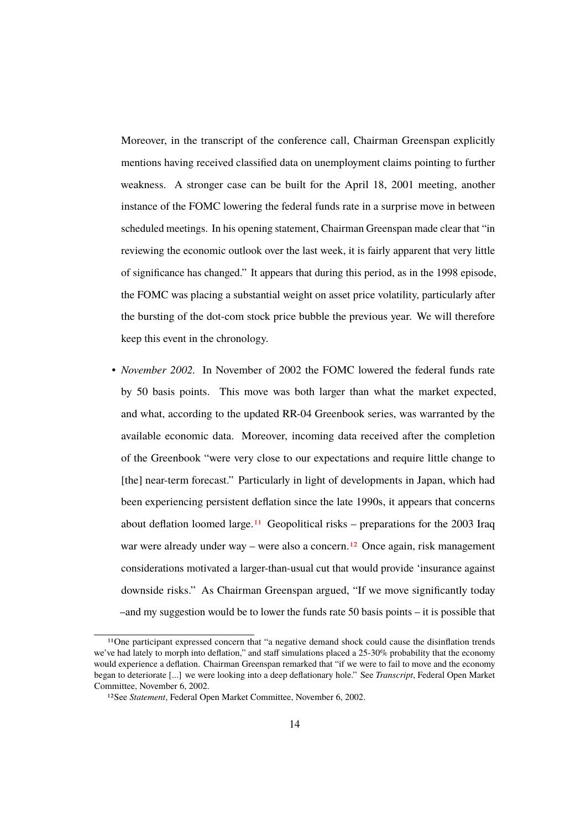Moreover, in the transcript of the conference call, Chairman Greenspan explicitly mentions having received classified data on unemployment claims pointing to further weakness. A stronger case can be built for the April 18, 2001 meeting, another instance of the FOMC lowering the federal funds rate in a surprise move in between scheduled meetings. In his opening statement, Chairman Greenspan made clear that "in reviewing the economic outlook over the last week, it is fairly apparent that very little of significance has changed." It appears that during this period, as in the 1998 episode, the FOMC was placing a substantial weight on asset price volatility, particularly after the bursting of the dot-com stock price bubble the previous year. We will therefore keep this event in the chronology.

• *November 2002.* In November of 2002 the FOMC lowered the federal funds rate by 50 basis points. This move was both larger than what the market expected, and what, according to the updated RR-04 Greenbook series, was warranted by the available economic data. Moreover, incoming data received after the completion of the Greenbook "were very close to our expectations and require little change to [the] near-term forecast." Particularly in light of developments in Japan, which had been experiencing persistent deflation since the late 1990s, it appears that concerns about deflation loomed large.<sup>11</sup> Geopolitical risks – preparations for the 2003 Iraq war were already under way – were also a concern.<sup>12</sup> Once again, risk management considerations motivated a larger-than-usual cut that would provide 'insurance against downside risks." As Chairman Greenspan argued, "If we move significantly today –and my suggestion would be to lower the funds rate 50 basis points – it is possible that

<sup>11</sup>One participant expressed concern that "a negative demand shock could cause the disinflation trends we've had lately to morph into deflation," and staff simulations placed a  $25{\text -}30\%$  probability that the economy would experience a deflation. Chairman Greenspan remarked that "if we were to fail to move and the economy began to deteriorate [...] we were looking into a deep deflationary hole." See *Transcript*, Federal Open Market Committee, November 6, 2002.

<sup>12</sup>See *Statement*, Federal Open Market Committee, November 6, 2002.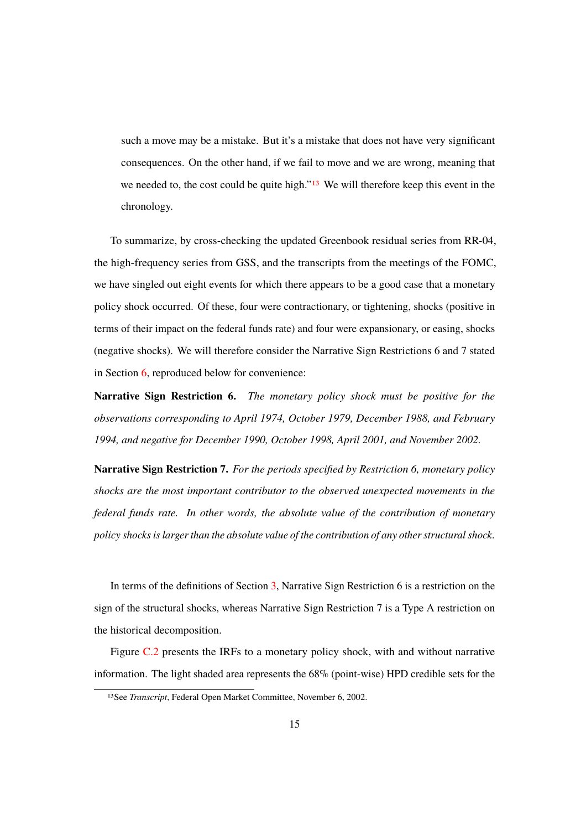such a move may be a mistake. But it's a mistake that does not have very significant consequences. On the other hand, if we fail to move and we are wrong, meaning that we needed to, the cost could be quite high."<sup>13</sup> We will therefore keep this event in the chronology.

To summarize, by cross-checking the updated Greenbook residual series from RR-04, the high-frequency series from GSS, and the transcripts from the meetings of the FOMC, we have singled out eight events for which there appears to be a good case that a monetary policy shock occurred. Of these, four were contractionary, or tightening, shocks (positive in terms of their impact on the federal funds rate) and four were expansionary, or easing, shocks (negative shocks). We will therefore consider the Narrative Sign Restrictions 6 and 7 stated in Section 6, reproduced below for convenience:

**Narrative Sign Restriction 6.** *The monetary policy shock must be positive for the observations corresponding to April 1974, October 1979, December 1988, and February 1994, and negative for December 1990, October 1998, April 2001, and November 2002.*

**Narrative Sign Restriction 7.** *For the periods specified by Restriction 6, monetary policy shocks are the most important contributor to the observed unexpected movements in the federal funds rate. In other words, the absolute value of the contribution of monetary policy shocks is larger than the absolute value of the contribution of any other structural shock.*

In terms of the definitions of Section 3, Narrative Sign Restriction 6 is a restriction on the sign of the structural shocks, whereas Narrative Sign Restriction 7 is a Type A restriction on the historical decomposition.

Figure C.2 presents the IRFs to a monetary policy shock, with and without narrative information. The light shaded area represents the 68% (point-wise) HPD credible sets for the

<sup>13</sup>See *Transcript*, Federal Open Market Committee, November 6, 2002.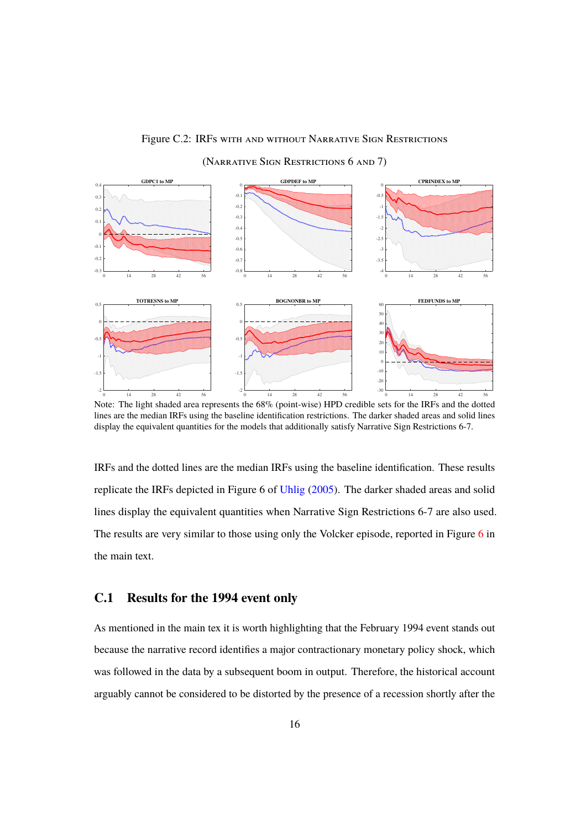#### Figure C.2: IRFs with and without Narrative Sign Restrictions

 **GDPC1 to MP** 0 14 28 42 56  $-0.$  $-0.2$  $-0.1$  $\overline{1}$  $\overline{0}$ .  $0.2$  $0.3$ 0.4<sup>2</sup> GDPDEF to MP 0 14 28 42 56  $-0.8$  $-0.7$ -0.6 -0.5 -0.4 -0.3  $-0.2$ -0.1 **CPRINDEX to MP CPRINDEX to MP**  0 14 28 42 56 -4 -3.5 -3  $-2.5$ -2 -1.5 -1 -0.5 0  **TOTRESNS to MP** 0 14 28 42 56 -2 -1.5 -1  $-0.5$ 0 0.5 **FEDEUNDS to MP** 0.5 **BOGNONBR to MP** 60 **FEDEUNDS to MP** 60 FEDEUNDS to MP 0 14 28 42 56 -2 -1.5 -1 -0.5 0 0 14 28 42 56 -30 -20 -10 0 10  $\overline{20}$  $\overline{30}$ 40  $\tilde{\mathcal{L}}$ 60

(NARRATIVE SIGN RESTRICTIONS 6 AND 7)

Note: The light shaded area represents the 68% (point-wise) HPD credible sets for the IRFs and the dotted lines are the median IRFs using the baseline identification restrictions. The darker shaded areas and solid lines display the equivalent quantities for the models that additionally satisfy Narrative Sign Restrictions 6-7.

IRFs and the dotted lines are the median IRFs using the baseline identification. These results replicate the IRFs depicted in Figure 6 of Uhlig (2005). The darker shaded areas and solid lines display the equivalent quantities when Narrative Sign Restrictions 6-7 are also used. The results are very similar to those using only the Volcker episode, reported in Figure 6 in the main text.

#### **C.1 Results for the 1994 event only**

As mentioned in the main tex it is worth highlighting that the February 1994 event stands out because the narrative record identifies a major contractionary monetary policy shock, which was followed in the data by a subsequent boom in output. Therefore, the historical account arguably cannot be considered to be distorted by the presence of a recession shortly after the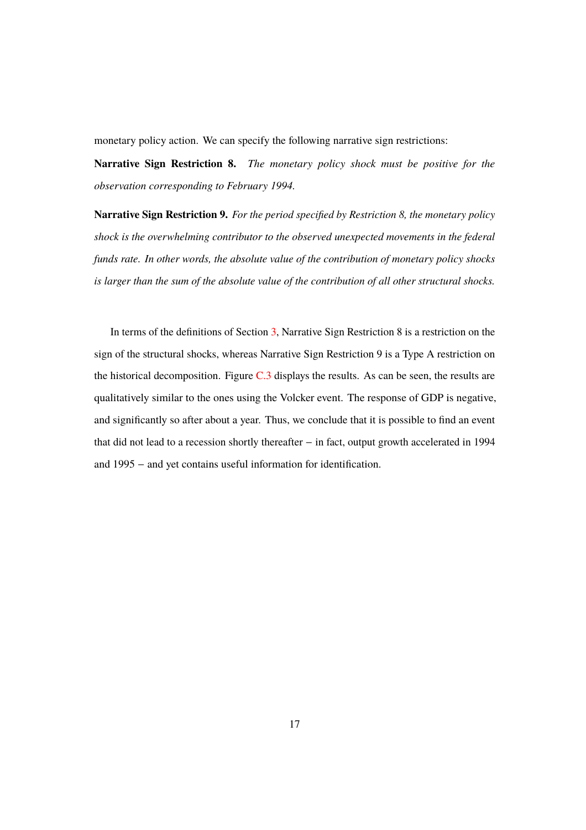monetary policy action. We can specify the following narrative sign restrictions:

**Narrative Sign Restriction 8.** *The monetary policy shock must be positive for the observation corresponding to February 1994.*

**Narrative Sign Restriction 9.** *For the period specified by Restriction 8, the monetary policy shock is the overwhelming contributor to the observed unexpected movements in the federal funds rate. In other words, the absolute value of the contribution of monetary policy shocks is larger than the sum of the absolute value of the contribution of all other structural shocks.*

In terms of the definitions of Section 3, Narrative Sign Restriction 8 is a restriction on the sign of the structural shocks, whereas Narrative Sign Restriction 9 is a Type A restriction on the historical decomposition. Figure  $C.3$  displays the results. As can be seen, the results are qualitatively similar to the ones using the Volcker event. The response of GDP is negative, and significantly so after about a year. Thus, we conclude that it is possible to find an event that did not lead to a recession shortly thereafter  $-$  in fact, output growth accelerated in 1994 and  $1995 -$  and yet contains useful information for identification.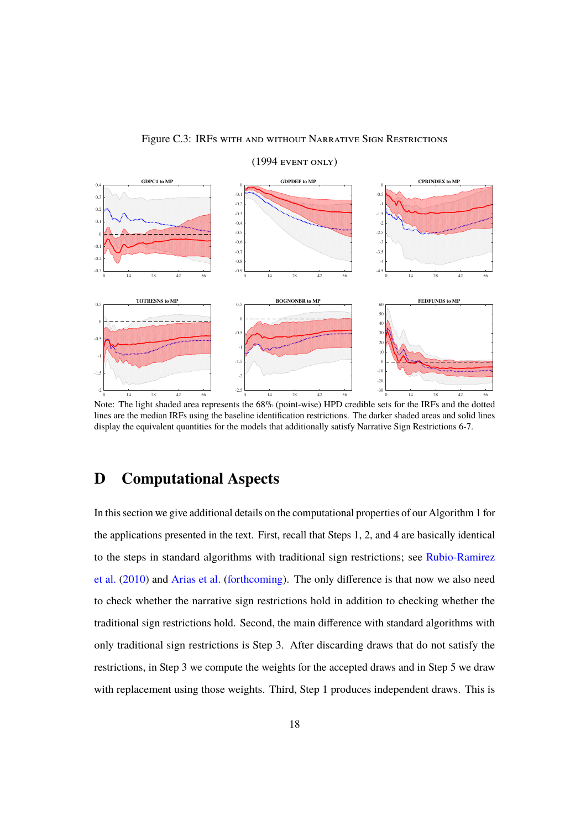



 $(1994$  EVENT ONLY)

Note: The light shaded area represents the 68% (point-wise) HPD credible sets for the IRFs and the dotted lines are the median IRFs using the baseline identification restrictions. The darker shaded areas and solid lines display the equivalent quantities for the models that additionally satisfy Narrative Sign Restrictions 6-7.

## **D Computational Aspects**

In this section we give additional details on the computational properties of our Algorithm 1 for the applications presented in the text. First, recall that Steps 1, 2, and 4 are basically identical to the steps in standard algorithms with traditional sign restrictions; see Rubio-Ramirez et al.  $(2010)$  and Arias et al. (forthcoming). The only difference is that now we also need to check whether the narrative sign restrictions hold in addition to checking whether the traditional sign restrictions hold. Second, the main difference with standard algorithms with only traditional sign restrictions is Step 3. After discarding draws that do not satisfy the restrictions, in Step 3 we compute the weights for the accepted draws and in Step 5 we draw with replacement using those weights. Third, Step 1 produces independent draws. This is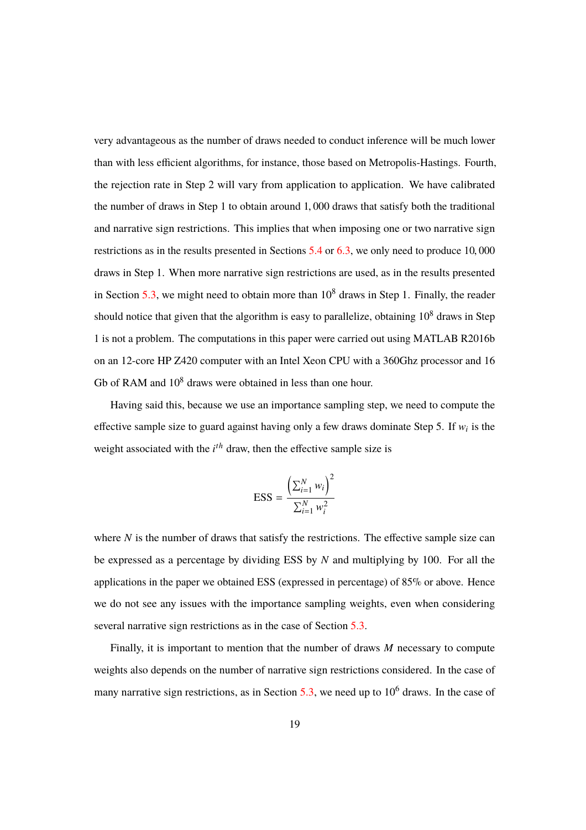very advantageous as the number of draws needed to conduct inference will be much lower than with less efficient algorithms, for instance, those based on Metropolis-Hastings. Fourth, the rejection rate in Step 2 will vary from application to application. We have calibrated the number of draws in Step 1 to obtain around 1, 000 draws that satisfy both the traditional and narrative sign restrictions. This implies that when imposing one or two narrative sign restrictions as in the results presented in Sections 5.4 or 6.3, we only need to produce 10, 000 draws in Step 1. When more narrative sign restrictions are used, as in the results presented in Section 5.3, we might need to obtain more than  $10^8$  draws in Step 1. Finally, the reader should notice that given that the algorithm is easy to parallelize, obtaining  $10^8$  draws in Step 1 is not a problem. The computations in this paper were carried out using MATLAB R2016b on an 12-core HP Z420 computer with an Intel Xeon CPU with a 360Ghz processor and 16 Gb of RAM and  $10<sup>8</sup>$  draws were obtained in less than one hour.

Having said this, because we use an importance sampling step, we need to compute the effective sample size to guard against having only a few draws dominate Step 5. If  $w_i$  is the weight associated with the *i*<sup>th</sup> draw, then the effective sample size is

$$
ESS = \frac{\left(\sum_{i=1}^{N} w_i\right)^2}{\sum_{i=1}^{N} w_i^2}
$$

where  $N$  is the number of draws that satisfy the restrictions. The effective sample size can be expressed as a percentage by dividing ESS by *N* and multiplying by 100. For all the applications in the paper we obtained ESS (expressed in percentage) of 85% or above. Hence we do not see any issues with the importance sampling weights, even when considering several narrative sign restrictions as in the case of Section 5.3.

Finally, it is important to mention that the number of draws *M* necessary to compute weights also depends on the number of narrative sign restrictions considered. In the case of many narrative sign restrictions, as in Section 5.3, we need up to  $10^6$  draws. In the case of